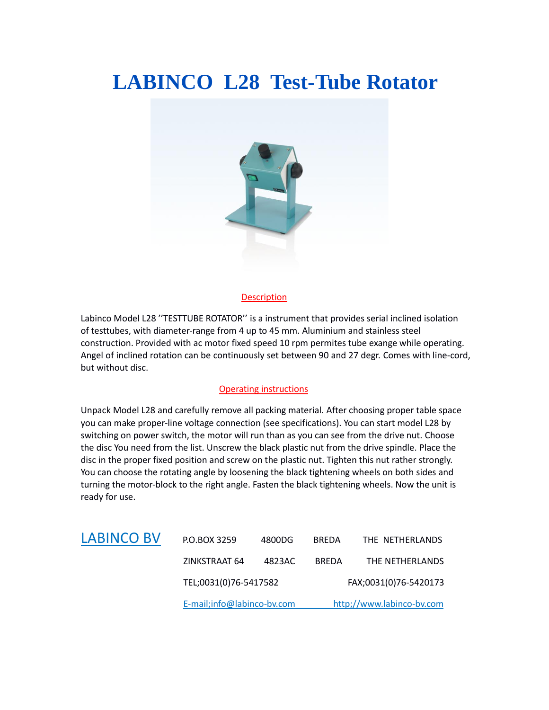## **LABINCO L28 Test-Tube Rotator**



#### Description

Labinco Model L28 ''TESTTUBE ROTATOR'' is a instrument that provides serial inclined isolation of testtubes, with diameter-range from 4 up to 45 mm. Aluminium and stainless steel construction. Provided with ac motor fixed speed 10 rpm permites tube exange while operating. Angel of inclined rotation can be continuously set between 90 and 27 degr. Comes with line-cord, but without disc.

#### Operating instructions

Unpack Model L28 and carefully remove all packing material. After choosing proper table space you can make proper-line voltage connection (see specifications). You can start model L28 by switching on power switch, the motor will run than as you can see from the drive nut. Choose the disc You need from the list. Unscrew the black plastic nut from the drive spindle. Place the disc in the proper fixed position and screw on the plastic nut. Tighten this nut rather strongly. You can choose the rotating angle by loosening the black tightening wheels on both sides and turning the motor-block to the right angle. Fasten the black tightening wheels. Now the unit is ready for use.

|                   | E-mail;info@labinco-bv.com |        | http;//www.labinco-bv.com |                 |
|-------------------|----------------------------|--------|---------------------------|-----------------|
|                   | TEL;0031(0)76-5417582      |        | FAX;0031(0)76-5420173     |                 |
|                   | ZINKSTRAAT 64              | 4823AC | <b>BREDA</b>              | THE NETHERLANDS |
| <b>LABINCO BV</b> | P.O.BOX 3259               | 4800DG | <b>BREDA</b>              | THE NETHERLANDS |